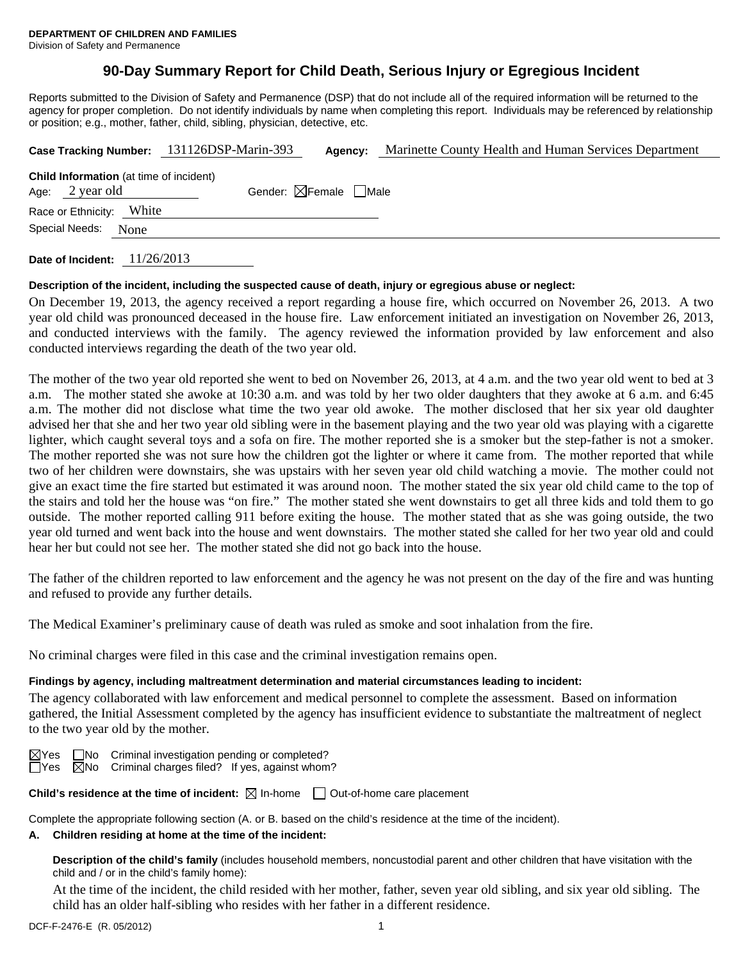# **90-Day Summary Report for Child Death, Serious Injury or Egregious Incident**

Reports submitted to the Division of Safety and Permanence (DSP) that do not include all of the required information will be returned to the agency for proper completion. Do not identify individuals by name when completing this report. Individuals may be referenced by relationship or position; e.g., mother, father, child, sibling, physician, detective, etc.

|                 |                                                | Case Tracking Number: 131126DSP-Marin-393 | Agency:                                | Marinette County Health and Human Services Department |  |  |  |
|-----------------|------------------------------------------------|-------------------------------------------|----------------------------------------|-------------------------------------------------------|--|--|--|
| Age: 2 year old | <b>Child Information</b> (at time of incident) |                                           | Gender: $\boxtimes$ Female $\Box$ Male |                                                       |  |  |  |
|                 | Race or Ethnicity: White                       |                                           |                                        |                                                       |  |  |  |
| Special Needs:  | None                                           |                                           |                                        |                                                       |  |  |  |
|                 |                                                |                                           |                                        |                                                       |  |  |  |

**Date of Incident:** 11/26/2013

## **Description of the incident, including the suspected cause of death, injury or egregious abuse or neglect:**

On December 19, 2013, the agency received a report regarding a house fire, which occurred on November 26, 2013. A two year old child was pronounced deceased in the house fire. Law enforcement initiated an investigation on November 26, 2013, and conducted interviews with the family. The agency reviewed the information provided by law enforcement and also conducted interviews regarding the death of the two year old.

The mother of the two year old reported she went to bed on November 26, 2013, at 4 a.m. and the two year old went to bed at 3 a.m. The mother stated she awoke at 10:30 a.m. and was told by her two older daughters that they awoke at 6 a.m. and 6:45 a.m. The mother did not disclose what time the two year old awoke. The mother disclosed that her six year old daughter advised her that she and her two year old sibling were in the basement playing and the two year old was playing with a cigarette lighter, which caught several toys and a sofa on fire. The mother reported she is a smoker but the step-father is not a smoker. The mother reported she was not sure how the children got the lighter or where it came from. The mother reported that while two of her children were downstairs, she was upstairs with her seven year old child watching a movie. The mother could not give an exact time the fire started but estimated it was around noon. The mother stated the six year old child came to the top of the stairs and told her the house was "on fire." The mother stated she went downstairs to get all three kids and told them to go outside. The mother reported calling 911 before exiting the house. The mother stated that as she was going outside, the two year old turned and went back into the house and went downstairs. The mother stated she called for her two year old and could hear her but could not see her. The mother stated she did not go back into the house.

The father of the children reported to law enforcement and the agency he was not present on the day of the fire and was hunting and refused to provide any further details.

The Medical Examiner's preliminary cause of death was ruled as smoke and soot inhalation from the fire.

No criminal charges were filed in this case and the criminal investigation remains open.

## **Findings by agency, including maltreatment determination and material circumstances leading to incident:**

The agency collaborated with law enforcement and medical personnel to complete the assessment. Based on information gathered, the Initial Assessment completed by the agency has insufficient evidence to substantiate the maltreatment of neglect to the two year old by the mother.

 $\boxtimes$ Yes  $\Box$ No Criminal investigation pending or completed?  $\Box$ Yes  $\Box$ No Criminal charges filed? If yes, against whom?

**Child's residence at the time of incident:**  $\boxtimes$  In-home  $\Box$  Out-of-home care placement

Complete the appropriate following section (A. or B. based on the child's residence at the time of the incident).

#### **A. Children residing at home at the time of the incident:**

**Description of the child's family** (includes household members, noncustodial parent and other children that have visitation with the child and / or in the child's family home):

 At the time of the incident, the child resided with her mother, father, seven year old sibling, and six year old sibling. The child has an older half-sibling who resides with her father in a different residence.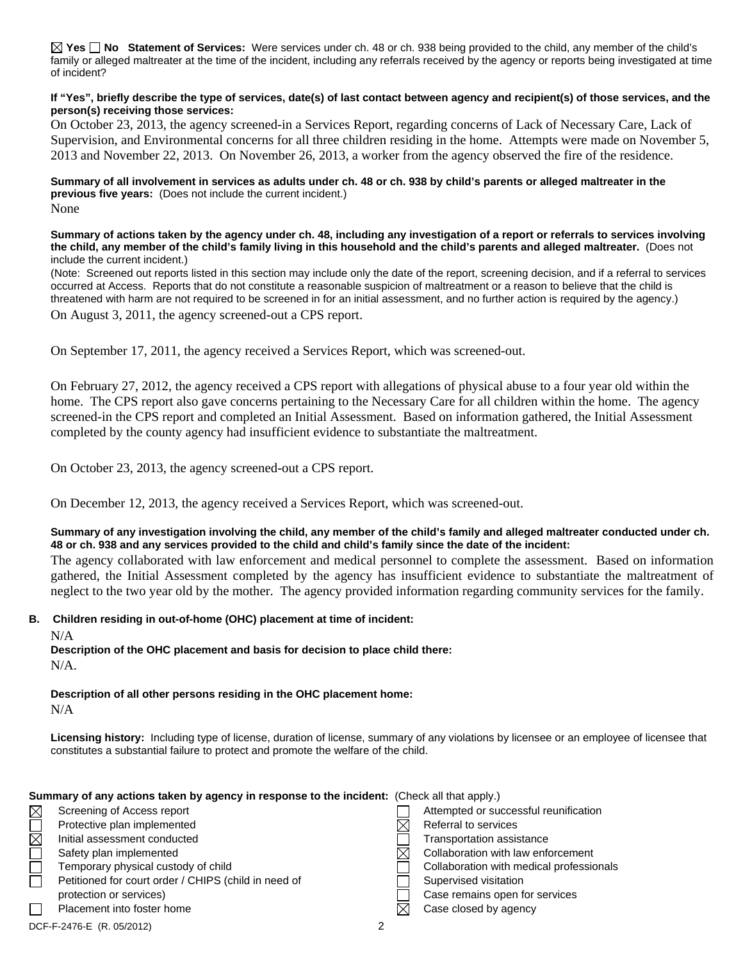**Yes No Statement of Services:** Were services under ch. 48 or ch. 938 being provided to the child, any member of the child's family or alleged maltreater at the time of the incident, including any referrals received by the agency or reports being investigated at time of incident?

#### **If "Yes", briefly describe the type of services, date(s) of last contact between agency and recipient(s) of those services, and the person(s) receiving those services:**

On October 23, 2013, the agency screened-in a Services Report, regarding concerns of Lack of Necessary Care, Lack of Supervision, and Environmental concerns for all three children residing in the home. Attempts were made on November 5, 2013 and November 22, 2013. On November 26, 2013, a worker from the agency observed the fire of the residence.

#### **Summary of all involvement in services as adults under ch. 48 or ch. 938 by child's parents or alleged maltreater in the previous five years:** (Does not include the current incident.) None

**Summary of actions taken by the agency under ch. 48, including any investigation of a report or referrals to services involving the child, any member of the child's family living in this household and the child's parents and alleged maltreater.** (Does not include the current incident.)

(Note: Screened out reports listed in this section may include only the date of the report, screening decision, and if a referral to services occurred at Access. Reports that do not constitute a reasonable suspicion of maltreatment or a reason to believe that the child is threatened with harm are not required to be screened in for an initial assessment, and no further action is required by the agency.)

On August 3, 2011, the agency screened-out a CPS report.

On September 17, 2011, the agency received a Services Report, which was screened-out.

On February 27, 2012, the agency received a CPS report with allegations of physical abuse to a four year old within the home. The CPS report also gave concerns pertaining to the Necessary Care for all children within the home. The agency screened-in the CPS report and completed an Initial Assessment. Based on information gathered, the Initial Assessment completed by the county agency had insufficient evidence to substantiate the maltreatment.

On October 23, 2013, the agency screened-out a CPS report.

On December 12, 2013, the agency received a Services Report, which was screened-out.

## **Summary of any investigation involving the child, any member of the child's family and alleged maltreater conducted under ch. 48 or ch. 938 and any services provided to the child and child's family since the date of the incident:**

The agency collaborated with law enforcement and medical personnel to complete the assessment. Based on information gathered, the Initial Assessment completed by the agency has insufficient evidence to substantiate the maltreatment of neglect to the two year old by the mother. The agency provided information regarding community services for the family.

## **B. Children residing in out-of-home (OHC) placement at time of incident:**

N/A

**Description of the OHC placement and basis for decision to place child there:** N/A.

**Description of all other persons residing in the OHC placement home:** N/A

**Licensing history:** Including type of license, duration of license, summary of any violations by licensee or an employee of licensee that constitutes a substantial failure to protect and promote the welfare of the child.

## **Summary of any actions taken by agency in response to the incident:** (Check all that apply.)

| $\boxtimes$ | Screening of Access report                           |  | Attempted or successful reunification    |
|-------------|------------------------------------------------------|--|------------------------------------------|
|             | Protective plan implemented                          |  | Referral to services                     |
| $\boxtimes$ | Initial assessment conducted                         |  | Transportation assistance                |
|             | Safety plan implemented                              |  | Collaboration with law enforcement       |
|             | Temporary physical custody of child                  |  | Collaboration with medical professionals |
|             | Petitioned for court order / CHIPS (child in need of |  | Supervised visitation                    |
|             | protection or services)                              |  | Case remains open for services           |
|             | Placement into foster home                           |  | Case closed by agency                    |
|             | DCF-F-2476-E (R. 05/2012)                            |  |                                          |
|             |                                                      |  |                                          |